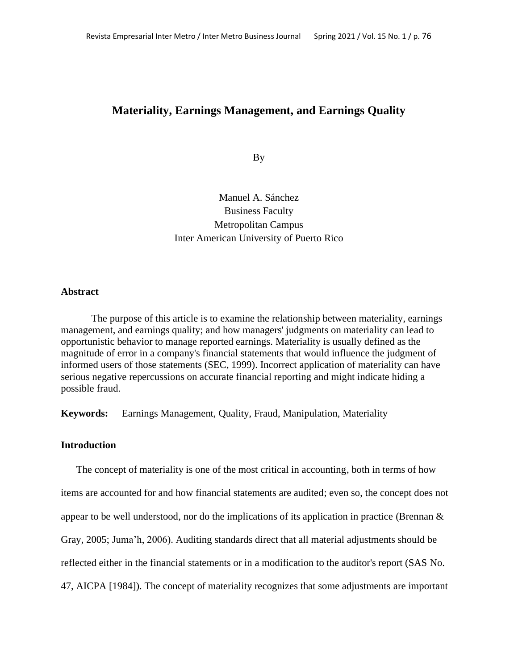# **Materiality, Earnings Management, and Earnings Quality**

By

Manuel A. Sánchez Business Faculty Metropolitan Campus Inter American University of Puerto Rico

#### **Abstract**

The purpose of this article is to examine the relationship between materiality, earnings management, and earnings quality; and how managers' judgments on materiality can lead to opportunistic behavior to manage reported earnings. Materiality is usually defined as the magnitude of error in a company's financial statements that would influence the judgment of informed users of those statements (SEC, 1999). Incorrect application of materiality can have serious negative repercussions on accurate financial reporting and might indicate hiding a possible fraud.

**Keywords:** Earnings Management, Quality, Fraud, Manipulation, Materiality

#### **Introduction**

The concept of materiality is one of the most critical in accounting, both in terms of how items are accounted for and how financial statements are audited; even so, the concept does not appear to be well understood, nor do the implications of its application in practice (Brennan & Gray, 2005; Juma'h, 2006). Auditing standards direct that all material adjustments should be reflected either in the financial statements or in a modification to the auditor's report (SAS No. 47, AICPA [1984]). The concept of materiality recognizes that some adjustments are important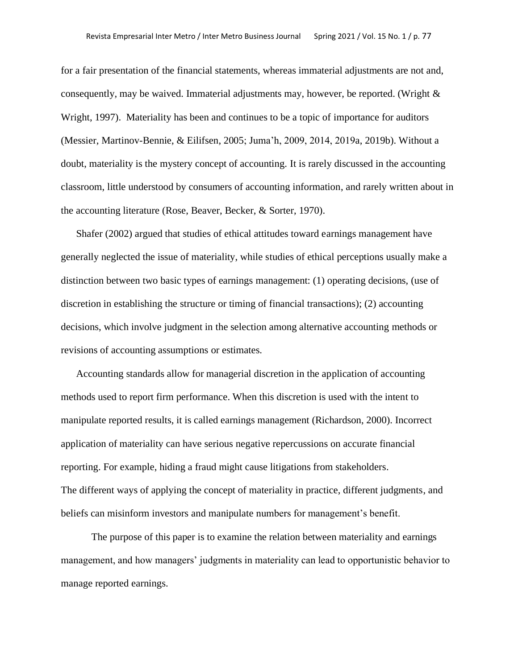for a fair presentation of the financial statements, whereas immaterial adjustments are not and, consequently, may be waived. Immaterial adjustments may, however, be reported. (Wright & Wright, 1997). Materiality has been and continues to be a topic of importance for auditors (Messier, Martinov-Bennie, & Eilifsen, 2005; Juma'h, 2009, 2014, 2019a, 2019b). Without a doubt, materiality is the mystery concept of accounting. It is rarely discussed in the accounting classroom, little understood by consumers of accounting information, and rarely written about in the accounting literature (Rose, Beaver, Becker, & Sorter, 1970).

Shafer (2002) argued that studies of ethical attitudes toward earnings management have generally neglected the issue of materiality, while studies of ethical perceptions usually make a distinction between two basic types of earnings management: (1) operating decisions, (use of discretion in establishing the structure or timing of financial transactions); (2) accounting decisions, which involve judgment in the selection among alternative accounting methods or revisions of accounting assumptions or estimates.

Accounting standards allow for managerial discretion in the application of accounting methods used to report firm performance. When this discretion is used with the intent to manipulate reported results, it is called earnings management (Richardson, 2000). Incorrect application of materiality can have serious negative repercussions on accurate financial reporting. For example, hiding a fraud might cause litigations from stakeholders. The different ways of applying the concept of materiality in practice, different judgments, and beliefs can misinform investors and manipulate numbers for management's benefit.

The purpose of this paper is to examine the relation between materiality and earnings management, and how managers' judgments in materiality can lead to opportunistic behavior to manage reported earnings.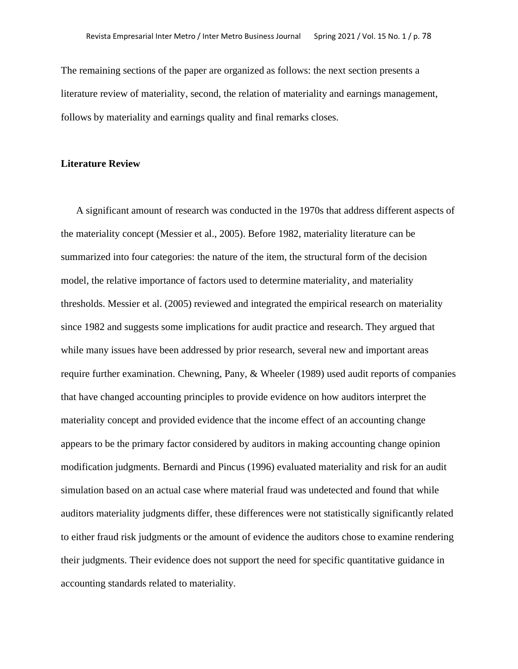The remaining sections of the paper are organized as follows: the next section presents a literature review of materiality, second, the relation of materiality and earnings management, follows by materiality and earnings quality and final remarks closes.

## **Literature Review**

A significant amount of research was conducted in the 1970s that address different aspects of the materiality concept (Messier et al., 2005). Before 1982, materiality literature can be summarized into four categories: the nature of the item, the structural form of the decision model, the relative importance of factors used to determine materiality, and materiality thresholds. Messier et al. (2005) reviewed and integrated the empirical research on materiality since 1982 and suggests some implications for audit practice and research. They argued that while many issues have been addressed by prior research, several new and important areas require further examination. Chewning, Pany, & Wheeler (1989) used audit reports of companies that have changed accounting principles to provide evidence on how auditors interpret the materiality concept and provided evidence that the income effect of an accounting change appears to be the primary factor considered by auditors in making accounting change opinion modification judgments. Bernardi and Pincus (1996) evaluated materiality and risk for an audit simulation based on an actual case where material fraud was undetected and found that while auditors materiality judgments differ, these differences were not statistically significantly related to either fraud risk judgments or the amount of evidence the auditors chose to examine rendering their judgments. Their evidence does not support the need for specific quantitative guidance in accounting standards related to materiality.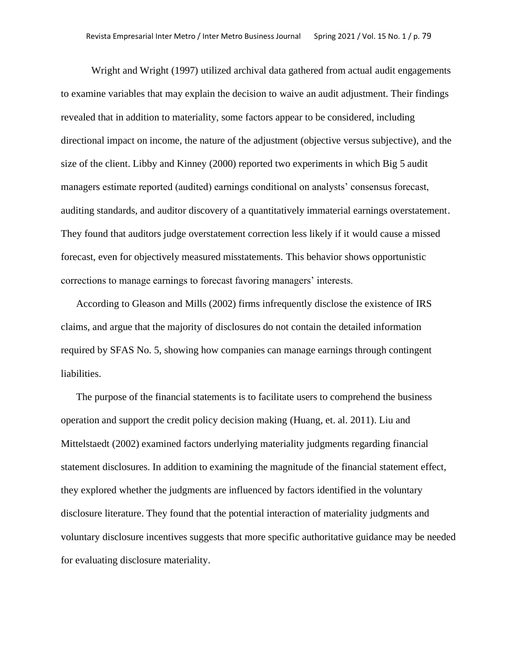Wright and Wright (1997) utilized archival data gathered from actual audit engagements to examine variables that may explain the decision to waive an audit adjustment. Their findings revealed that in addition to materiality, some factors appear to be considered, including directional impact on income, the nature of the adjustment (objective versus subjective), and the size of the client. Libby and Kinney (2000) reported two experiments in which Big 5 audit managers estimate reported (audited) earnings conditional on analysts' consensus forecast, auditing standards, and auditor discovery of a quantitatively immaterial earnings overstatement. They found that auditors judge overstatement correction less likely if it would cause a missed forecast, even for objectively measured misstatements. This behavior shows opportunistic corrections to manage earnings to forecast favoring managers' interests.

According to Gleason and Mills (2002) firms infrequently disclose the existence of IRS claims, and argue that the majority of disclosures do not contain the detailed information required by SFAS No. 5, showing how companies can manage earnings through contingent liabilities.

The purpose of the financial statements is to facilitate users to comprehend the business operation and support the credit policy decision making (Huang, et. al. 2011). Liu and Mittelstaedt (2002) examined factors underlying materiality judgments regarding financial statement disclosures. In addition to examining the magnitude of the financial statement effect, they explored whether the judgments are influenced by factors identified in the voluntary disclosure literature. They found that the potential interaction of materiality judgments and voluntary disclosure incentives suggests that more specific authoritative guidance may be needed for evaluating disclosure materiality.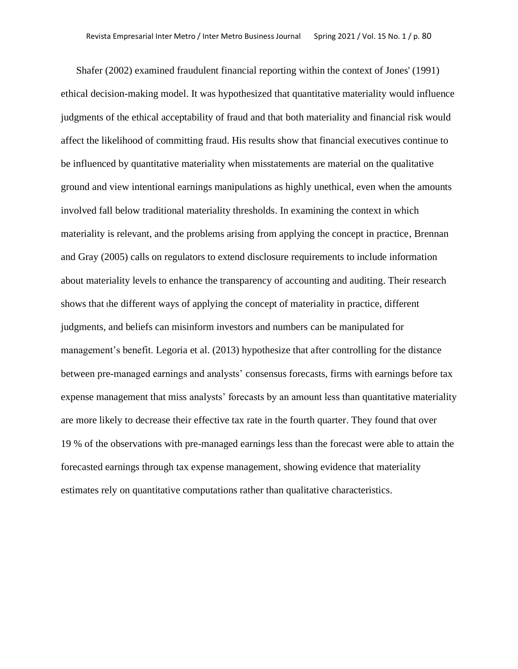Shafer (2002) examined fraudulent financial reporting within the context of Jones' (1991) ethical decision-making model. It was hypothesized that quantitative materiality would influence judgments of the ethical acceptability of fraud and that both materiality and financial risk would affect the likelihood of committing fraud. His results show that financial executives continue to be influenced by quantitative materiality when misstatements are material on the qualitative ground and view intentional earnings manipulations as highly unethical, even when the amounts involved fall below traditional materiality thresholds. In examining the context in which materiality is relevant, and the problems arising from applying the concept in practice, Brennan and Gray (2005) calls on regulators to extend disclosure requirements to include information about materiality levels to enhance the transparency of accounting and auditing. Their research shows that the different ways of applying the concept of materiality in practice, different judgments, and beliefs can misinform investors and numbers can be manipulated for management's benefit. Legoria et al. (2013) hypothesize that after controlling for the distance between pre-managed earnings and analysts' consensus forecasts, firms with earnings before tax expense management that miss analysts' forecasts by an amount less than quantitative materiality are more likely to decrease their effective tax rate in the fourth quarter. They found that over 19 % of the observations with pre-managed earnings less than the forecast were able to attain the forecasted earnings through tax expense management, showing evidence that materiality estimates rely on quantitative computations rather than qualitative characteristics.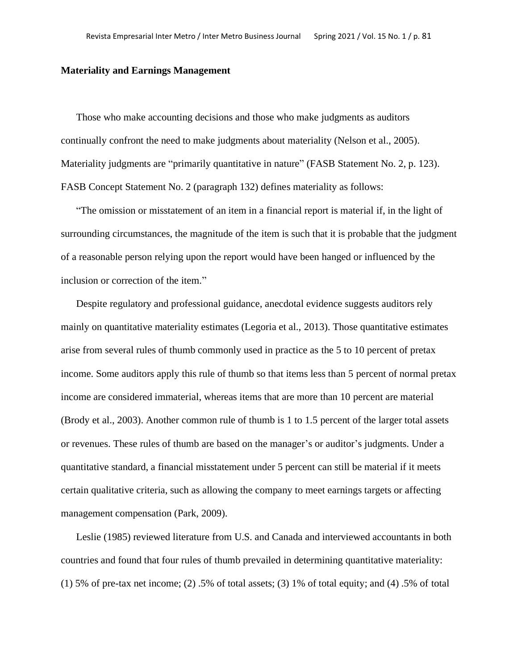#### **Materiality and Earnings Management**

Those who make accounting decisions and those who make judgments as auditors continually confront the need to make judgments about materiality (Nelson et al., 2005). Materiality judgments are "primarily quantitative in nature" (FASB Statement No. 2, p. 123). FASB Concept Statement No. 2 (paragraph 132) defines materiality as follows:

"The omission or misstatement of an item in a financial report is material if, in the light of surrounding circumstances, the magnitude of the item is such that it is probable that the judgment of a reasonable person relying upon the report would have been hanged or influenced by the inclusion or correction of the item."

Despite regulatory and professional guidance, anecdotal evidence suggests auditors rely mainly on quantitative materiality estimates (Legoria et al., 2013). Those quantitative estimates arise from several rules of thumb commonly used in practice as the 5 to 10 percent of pretax income. Some auditors apply this rule of thumb so that items less than 5 percent of normal pretax income are considered immaterial, whereas items that are more than 10 percent are material (Brody et al., 2003). Another common rule of thumb is 1 to 1.5 percent of the larger total assets or revenues. These rules of thumb are based on the manager's or auditor's judgments. Under a quantitative standard, a financial misstatement under 5 percent can still be material if it meets certain qualitative criteria, such as allowing the company to meet earnings targets or affecting management compensation (Park, 2009).

Leslie (1985) reviewed literature from U.S. and Canada and interviewed accountants in both countries and found that four rules of thumb prevailed in determining quantitative materiality: (1) 5% of pre-tax net income; (2) .5% of total assets; (3) 1% of total equity; and (4) .5% of total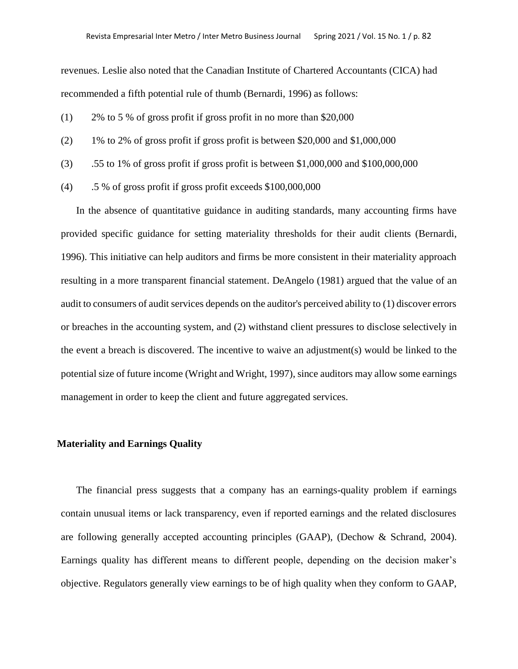revenues. Leslie also noted that the Canadian Institute of Chartered Accountants (CICA) had recommended a fifth potential rule of thumb (Bernardi, 1996) as follows:

- (1) 2% to 5 % of gross profit if gross profit in no more than \$20,000
- (2) 1% to 2% of gross profit if gross profit is between \$20,000 and \$1,000,000
- (3) .55 to 1% of gross profit if gross profit is between \$1,000,000 and \$100,000,000
- (4) .5 % of gross profit if gross profit exceeds \$100,000,000

In the absence of quantitative guidance in auditing standards, many accounting firms have provided specific guidance for setting materiality thresholds for their audit clients (Bernardi, 1996). This initiative can help auditors and firms be more consistent in their materiality approach resulting in a more transparent financial statement. DeAngelo (1981) argued that the value of an audit to consumers of audit services depends on the auditor's perceived ability to (1) discover errors or breaches in the accounting system, and (2) withstand client pressures to disclose selectively in the event a breach is discovered. The incentive to waive an adjustment(s) would be linked to the potential size of future income (Wright and Wright, 1997), since auditors may allow some earnings management in order to keep the client and future aggregated services.

## **Materiality and Earnings Quality**

The financial press suggests that a company has an earnings-quality problem if earnings contain unusual items or lack transparency, even if reported earnings and the related disclosures are following generally accepted accounting principles (GAAP), (Dechow & Schrand, 2004). Earnings quality has different means to different people, depending on the decision maker's objective. Regulators generally view earnings to be of high quality when they conform to GAAP,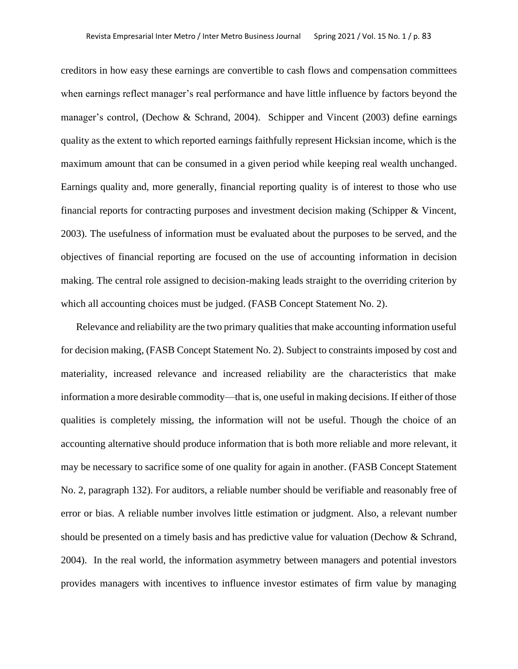creditors in how easy these earnings are convertible to cash flows and compensation committees when earnings reflect manager's real performance and have little influence by factors beyond the manager's control, (Dechow & Schrand, 2004). Schipper and Vincent (2003) define earnings quality as the extent to which reported earnings faithfully represent Hicksian income, which is the maximum amount that can be consumed in a given period while keeping real wealth unchanged. Earnings quality and, more generally, financial reporting quality is of interest to those who use financial reports for contracting purposes and investment decision making (Schipper & Vincent, 2003). The usefulness of information must be evaluated about the purposes to be served, and the objectives of financial reporting are focused on the use of accounting information in decision making. The central role assigned to decision-making leads straight to the overriding criterion by which all accounting choices must be judged. (FASB Concept Statement No. 2).

Relevance and reliability are the two primary qualities that make accounting information useful for decision making, (FASB Concept Statement No. 2). Subject to constraints imposed by cost and materiality, increased relevance and increased reliability are the characteristics that make information a more desirable commodity—that is, one useful in making decisions. If either of those qualities is completely missing, the information will not be useful. Though the choice of an accounting alternative should produce information that is both more reliable and more relevant, it may be necessary to sacrifice some of one quality for again in another. (FASB Concept Statement No. 2, paragraph 132). For auditors, a reliable number should be verifiable and reasonably free of error or bias. A reliable number involves little estimation or judgment. Also, a relevant number should be presented on a timely basis and has predictive value for valuation (Dechow & Schrand, 2004). In the real world, the information asymmetry between managers and potential investors provides managers with incentives to influence investor estimates of firm value by managing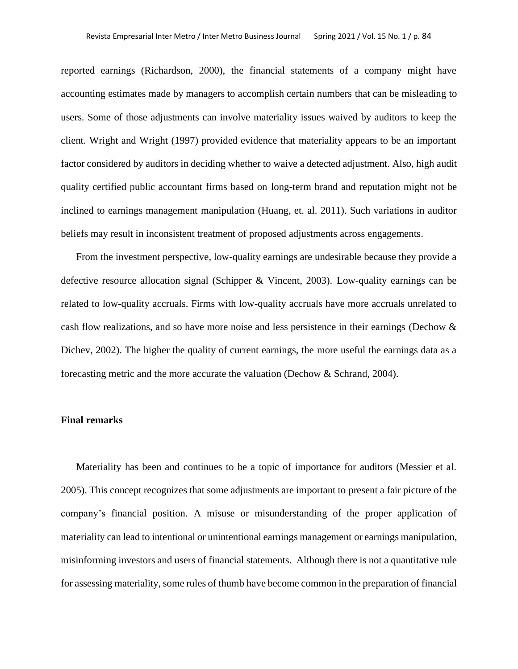reported earnings (Richardson, 2000), the financial statements of a company might have accounting estimates made by managers to accomplish certain numbers that can be misleading to users. Some of those adjustments can involve materiality issues waived by auditors to keep the client. Wright and Wright (1997) provided evidence that materiality appears to be an important factor considered by auditors in deciding whether to waive a detected adjustment. Also, high audit quality certified public accountant firms based on long-term brand and reputation might not be inclined to earnings management manipulation (Huang, et. al. 2011). Such variations in auditor beliefs may result in inconsistent treatment of proposed adjustments across engagements.

From the investment perspective, low-quality earnings are undesirable because they provide a defective resource allocation signal (Schipper & Vincent, 2003). Low-quality earnings can be related to low-quality accruals. Firms with low-quality accruals have more accruals unrelated to cash flow realizations, and so have more noise and less persistence in their earnings (Dechow & Dichev, 2002). The higher the quality of current earnings, the more useful the earnings data as a forecasting metric and the more accurate the valuation (Dechow & Schrand, 2004).

## **Final remarks**

Materiality has been and continues to be a topic of importance for auditors (Messier et al. 2005). This concept recognizes that some adjustments are important to present a fair picture of the company's financial position. A misuse or misunderstanding of the proper application of materiality can lead to intentional or unintentional earnings management or earnings manipulation, misinforming investors and users of financial statements. Although there is not a quantitative rule for assessing materiality, some rules of thumb have become common in the preparation of financial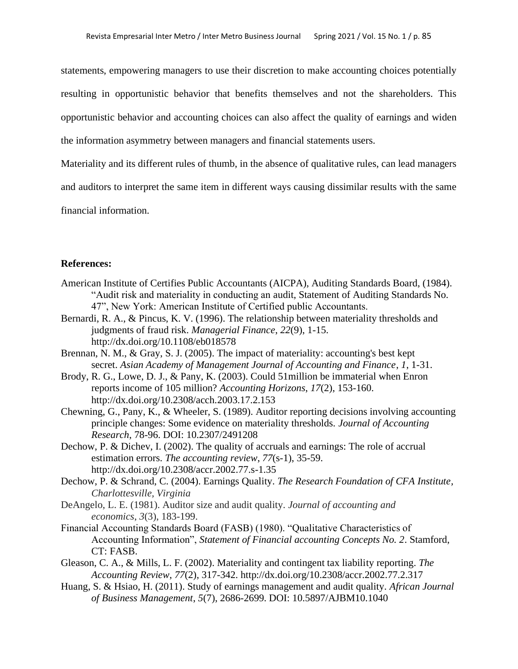statements, empowering managers to use their discretion to make accounting choices potentially resulting in opportunistic behavior that benefits themselves and not the shareholders. This opportunistic behavior and accounting choices can also affect the quality of earnings and widen the information asymmetry between managers and financial statements users.

Materiality and its different rules of thumb, in the absence of qualitative rules, can lead managers

and auditors to interpret the same item in different ways causing dissimilar results with the same

financial information.

# **References:**

- American Institute of Certifies Public Accountants (AICPA), Auditing Standards Board, (1984). "Audit risk and materiality in conducting an audit, Statement of Auditing Standards No. 47", New York: American Institute of Certified public Accountants.
- Bernardi, R. A., & Pincus, K. V. (1996). The relationship between materiality thresholds and judgments of fraud risk. *Managerial Finance*, *22*(9), 1-15. <http://dx.doi.org/10.1108/eb018578>
- Brennan, N. M., & Gray, S. J. (2005). The impact of materiality: accounting's best kept secret. *Asian Academy of Management Journal of Accounting and Finance*, *1*, 1-31.
- Brody, R. G., Lowe, D. J., & Pany, K. (2003). Could 51million be immaterial when Enron reports income of 105 million? *Accounting Horizons*, *17*(2), 153-160. <http://dx.doi.org/10.2308/acch.2003.17.2.153>
- Chewning, G., Pany, K., & Wheeler, S. (1989). Auditor reporting decisions involving accounting principle changes: Some evidence on materiality thresholds. *Journal of Accounting Research*, 78-96. DOI: 10.2307/2491208
- Dechow, P. & Dichev, I. (2002). The quality of accruals and earnings: The role of accrual estimation errors. *The accounting review*, *77*(s-1), 35-59. <http://dx.doi.org/10.2308/accr.2002.77.s-1.35>
- Dechow, P. & Schrand, C. (2004). Earnings Quality. *The Research Foundation of CFA Institute, Charlottesville, Virginia*
- DeAngelo, L. E. (1981). Auditor size and audit quality. *Journal of accounting and economics*, *3*(3), 183-199.
- Financial Accounting Standards Board (FASB) (1980). "Qualitative Characteristics of Accounting Information", *Statement of Financial accounting Concepts No. 2*. Stamford, CT: FASB.
- Gleason, C. A., & Mills, L. F. (2002). Materiality and contingent tax liability reporting. *The Accounting Review*, *77*(2), 317-342.<http://dx.doi.org/10.2308/accr.2002.77.2.317>
- Huang, S. & Hsiao, H. (2011). Study of earnings management and audit quality. *African Journal of Business Management*, *5*(7), 2686-2699. DOI: 10.5897/AJBM10.1040